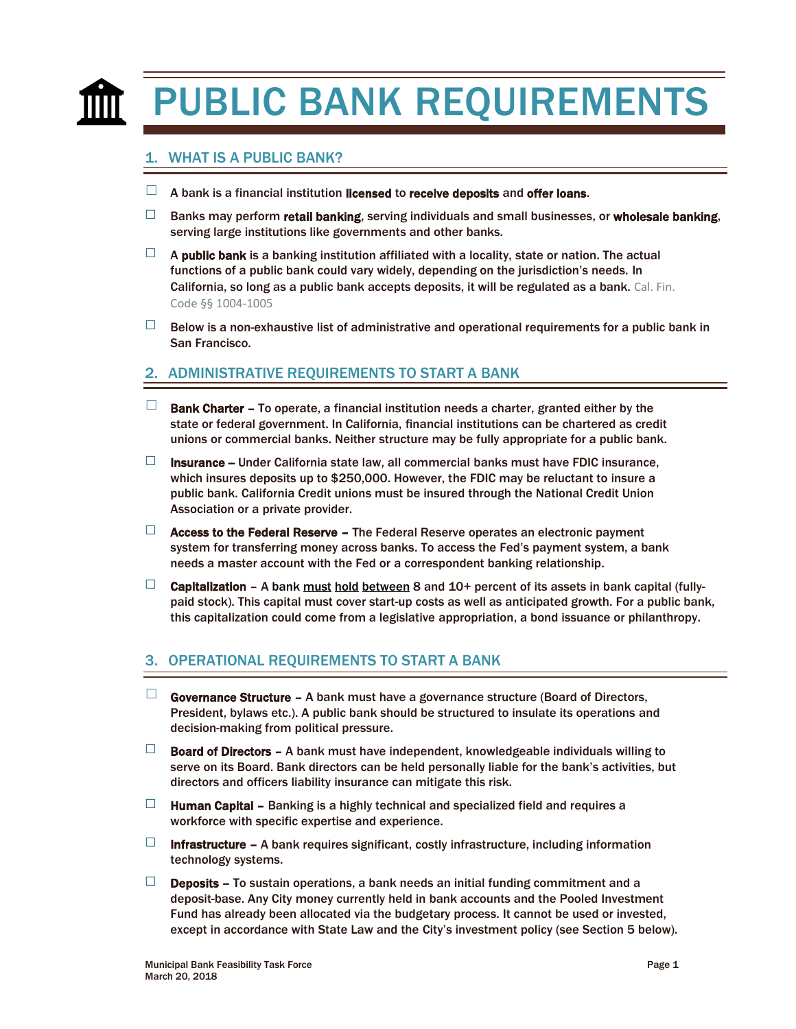# PUBLIC BANK REQUIREMENTS

## 1. WHAT IS A PUBLIC BANK?

- $\Box$  A bank is a financial institution licensed to receive deposits and offer loans.
- $\Box$  Banks may perform retail banking, serving individuals and small businesses, or wholesale banking, serving large institutions like governments and other banks.
- $\Box$  A public bank is a banking institution affiliated with a locality, state or nation. The actual functions of a public bank could vary widely, depending on the jurisdiction's needs. In California, so long as a public bank accepts deposits, it will be regulated as a bank. Cal. Fin. Code §§ 1004-1005
- $\Box$  Below is a non-exhaustive list of administrative and operational requirements for a public bank in San Francisco.

### 2. ADMINISTRATIVE REQUIREMENTS TO START A BANK

- $\Box$  Bank Charter To operate, a financial institution needs a charter, granted either by the state or federal government. In California, financial institutions can be chartered as credit unions or commercial banks. Neither structure may be fully appropriate for a public bank.
- $\Box$  Insurance -- Under California state law, all commercial banks must have FDIC insurance, which insures deposits up to \$250,000. However, the FDIC may be reluctant to insure a public bank. California Credit unions must be insured through the National Credit Union Association or a private provider.
- $\Box$  Access to the Federal Reserve The Federal Reserve operates an electronic payment system for transferring money across banks. To access the Fed's payment system, a bank needs a master account with the Fed or a correspondent banking relationship.
- $\Box$  Capitalization A bank [must](http://www.dbo.ca.gov/cacharter/guide.asp) [hold](https://www.fdic.gov/regulations/applications/handbook.pdf) [between](https://www.frbsf.org/banking/regulation/applications-membership/information/) 8 and 10+ percent of its assets in bank capital (fullypaid stock). This capital must cover start-up costs as well as anticipated growth. For a public bank, this capitalization could come from a legislative appropriation, a bond issuance or philanthropy.

## 3. OPERATIONAL REQUIREMENTS TO START A BANK

- $\Box$  Governance Structure A bank must have a governance structure (Board of Directors, President, bylaws etc.). A public bank should be structured to insulate its operations and decision-making from political pressure.
- $\Box$  Board of Directors A bank must have independent, knowledgeable individuals willing to serve on its Board. Bank directors can be held personally liable for the bank's activities, but directors and officers liability insurance can mitigate this risk.
- $\Box$  Human Capital Banking is a highly technical and specialized field and requires a workforce with specific expertise and experience.
- $\Box$  Infrastructure A bank requires significant, costly infrastructure, including information technology systems.
- $\Box$  Deposits To sustain operations, a bank needs an initial funding commitment and a deposit-base. Any City money currently held in bank accounts and the Pooled Investment Fund has already been allocated via the budgetary process. It cannot be used or invested, except in accordance with State Law and the City's investment policy (see Section 5 below).